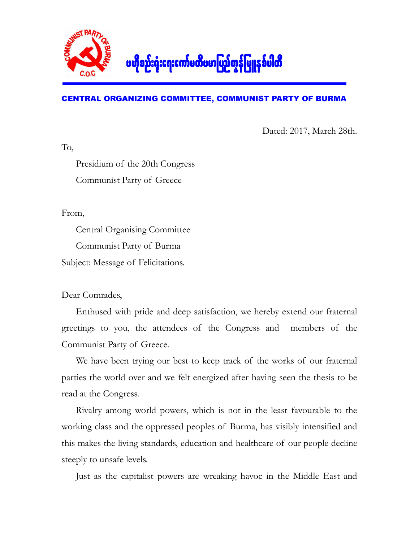

## CENTRAL ORGANIZING COMMITTEE, COMMUNIST PARTY OF BURMA

Dated: 2017, March 28th.

Presidium of the 20th Congress Communist Party of Greece

From,

To,

Central Organising Committee Communist Party of Burma Subject: Message of Felicitations.

Dear Comrades,

Enthused with pride and deep satisfaction, we hereby extend our fraternal greetings to you, the attendees of the Congress and members of the Communist Party of Greece.

We have been trying our best to keep track of the works of our fraternal parties the world over and we felt energized after having seen the thesis to be read at the Congress.

Rivalry among world powers, which is not in the least favourable to the working class and the oppressed peoples of Burma, has visibly intensified and this makes the living standards, education and healthcare of our people decline steeply to unsafe levels.

Just as the capitalist powers are wreaking havoc in the Middle East and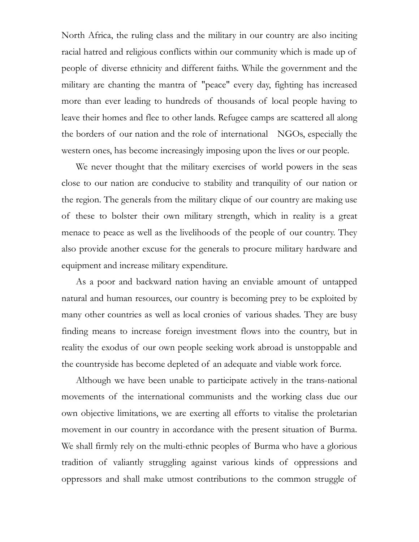North Africa, the ruling class and the military in our country are also inciting racial hatred and religious conflicts within our community which is made up of people of diverse ethnicity and different faiths. While the government and the military are chanting the mantra of "peace" every day, fighting has increased more than ever leading to hundreds of thousands of local people having to leave their homes and flee to other lands. Refugee camps are scattered all along the borders of our nation and the role of international NGOs, especially the western ones, has become increasingly imposing upon the lives or our people.

We never thought that the military exercises of world powers in the seas close to our nation are conducive to stability and tranquility of our nation or the region. The generals from the military clique of our country are making use of these to bolster their own military strength, which in reality is a great menace to peace as well as the livelihoods of the people of our country. They also provide another excuse for the generals to procure military hardware and equipment and increase military expenditure.

As a poor and backward nation having an enviable amount of untapped natural and human resources, our country is becoming prey to be exploited by many other countries as well as local cronies of various shades. They are busy finding means to increase foreign investment flows into the country, but in reality the exodus of our own people seeking work abroad is unstoppable and the countryside has become depleted of an adequate and viable work force.

Although we have been unable to participate actively in the trans-national movements of the international communists and the working class due our own objective limitations, we are exerting all efforts to vitalise the proletarian movement in our country in accordance with the present situation of Burma. We shall firmly rely on the multi-ethnic peoples of Burma who have a glorious tradition of valiantly struggling against various kinds of oppressions and oppressors and shall make utmost contributions to the common struggle of